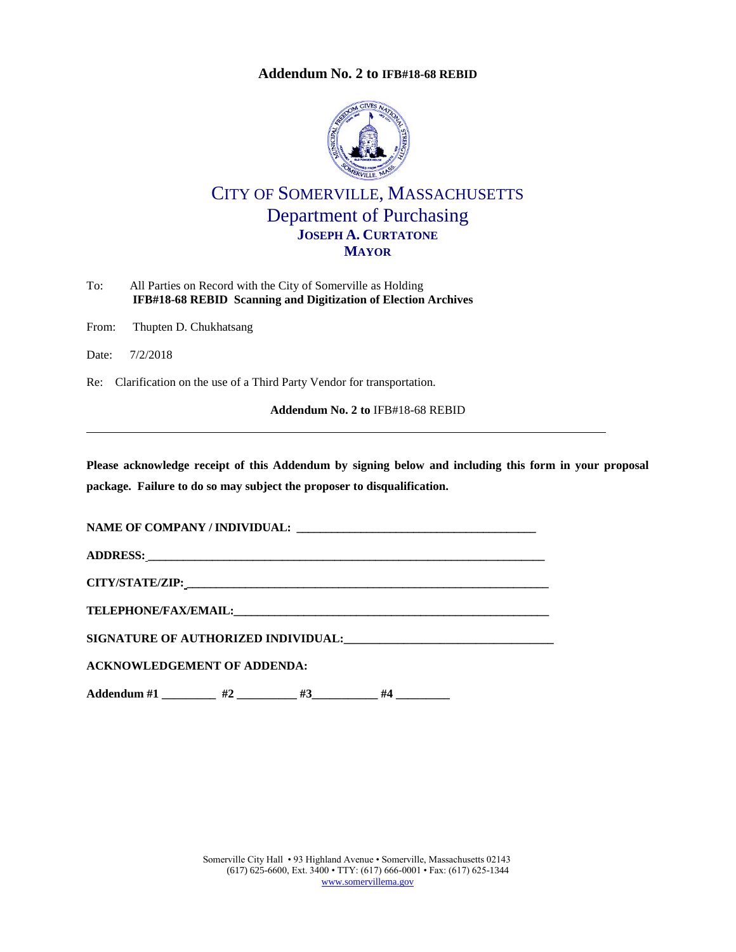## **Addendum No. 2 to [IFB#18-68 REBID](#page-0-0)**



## CITY OF SOMERVILLE, MASSACHUSETTS Department of Purchasing **JOSEPH A. CURTATONE MAYOR**

<span id="page-0-0"></span>

| To: | All Parties on Record with the City of Somerville as Holding   |
|-----|----------------------------------------------------------------|
|     | IFB#18-68 REBID Scanning and Digitization of Election Archives |

From: Thupten D. Chukhatsang

Date: 7/2/2018

Re: Clarification on the use of a Third Party Vendor for transportation.

**Addendum No. 2 to** [IFB#18-68 REBID](#page-0-0)

**Please acknowledge receipt of this Addendum by signing below and including this form in your proposal package. Failure to do so may subject the proposer to disqualification.**

**NAME OF COMPANY / INDIVIDUAL: \_\_\_\_\_\_\_\_\_\_\_\_\_\_\_\_\_\_\_\_\_\_\_\_\_\_\_\_\_\_\_\_\_\_\_\_\_\_\_\_\_**

**ADDRESS: \_\_\_\_\_\_\_\_\_\_\_\_\_\_\_\_\_\_\_\_\_\_\_\_\_\_\_\_\_\_\_\_\_\_\_\_\_\_\_\_\_\_\_\_\_\_\_\_\_\_\_\_\_\_\_\_\_\_\_\_\_\_\_\_\_\_\_\_**

**CITY/STATE/ZIP: \_\_\_\_\_\_\_\_\_\_\_\_\_\_\_\_\_\_\_\_\_\_\_\_\_\_\_\_\_\_\_\_\_\_\_\_\_\_\_\_\_\_\_\_\_\_\_\_\_\_\_\_\_\_\_\_\_\_\_\_\_\_**

**TELEPHONE/FAX/EMAIL:\_\_\_\_\_\_\_\_\_\_\_\_\_\_\_\_\_\_\_\_\_\_\_\_\_\_\_\_\_\_\_\_\_\_\_\_\_\_\_\_\_\_\_\_\_\_\_\_\_\_\_\_\_\_**

**SIGNATURE OF AUTHORIZED INDIVIDUAL:\_\_\_\_\_\_\_\_\_\_\_\_\_\_\_\_\_\_\_\_\_\_\_\_\_\_\_\_\_\_\_\_\_\_\_**

**ACKNOWLEDGEMENT OF ADDENDA:**

**Addendum #1 \_\_\_\_\_\_\_\_\_ #2 \_\_\_\_\_\_\_\_\_\_ #3\_\_\_\_\_\_\_\_\_\_\_ #4 \_\_\_\_\_\_\_\_\_**